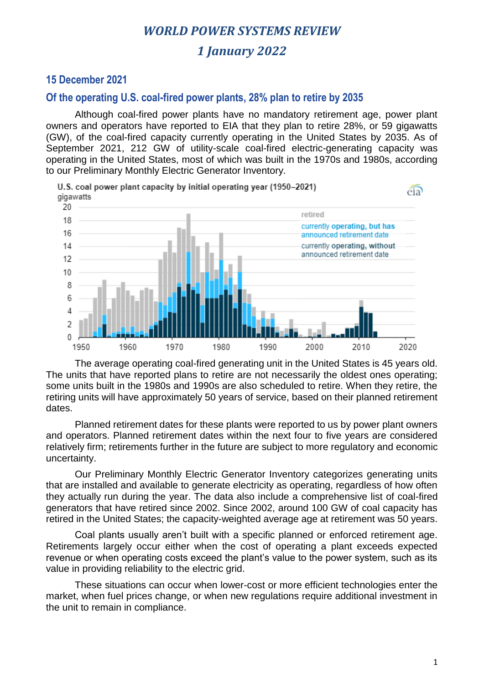# *1 January 2022*

### **15 December 2021**

#### **Of the operating U.S. coal-fired power plants, 28% plan to retire by 2035**

Although coal-fired power plants have no mandatory retirement age, power plant owners and operators have reported to EIA that they plan to retire 28%, or 59 gigawatts (GW), of the coal-fired capacity currently operating in the United States by 2035. As of September 2021, 212 GW of utility-scale coal-fired electric-generating capacity was operating in the United States, most of which was built in the 1970s and 1980s, according to our Preliminary Monthly Electric Generator Inventory.



The average operating coal-fired generating unit in the United States is 45 years old. The units that have reported plans to retire are not necessarily the oldest ones operating; some units built in the 1980s and 1990s are also scheduled to retire. When they retire, the retiring units will have approximately 50 years of service, based on their planned retirement dates.

Planned retirement dates for these plants were reported to us by power plant owners and operators. Planned retirement dates within the next four to five years are considered relatively firm; retirements further in the future are subject to more regulatory and economic uncertainty.

Our Preliminary Monthly Electric Generator Inventory categorizes generating units that are installed and available to generate electricity as operating, regardless of how often they actually run during the year. The data also include a comprehensive list of coal-fired generators that have retired since 2002. Since 2002, around 100 GW of coal capacity has retired in the United States; the capacity-weighted average age at retirement was 50 years.

Coal plants usually aren't built with a specific planned or enforced retirement age. Retirements largely occur either when the cost of operating a plant exceeds expected revenue or when operating costs exceed the plant's value to the power system, such as its value in providing reliability to the electric grid.

These situations can occur when lower-cost or more efficient technologies enter the market, when fuel prices change, or when new regulations require additional investment in the unit to remain in compliance.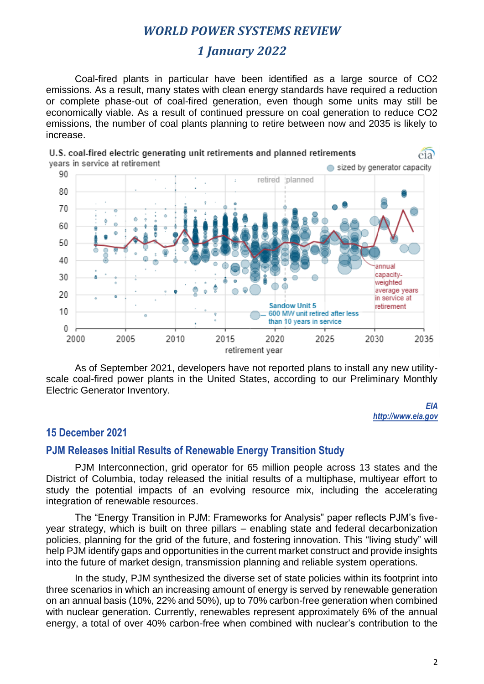# *1 January 2022*

Coal-fired plants in particular have been identified as a large source of CO2 emissions. As a result, many states with clean energy standards have required a reduction or complete phase-out of coal-fired generation, even though some units may still be economically viable. As a result of continued pressure on coal generation to reduce CO2 emissions, the number of coal plants planning to retire between now and 2035 is likely to increase.



As of September 2021, developers have not reported plans to install any new utilityscale coal-fired power plants in the United States, according to our Preliminary Monthly Electric Generator Inventory.

> *EIA http://www.eia.gov*

### **15 December 2021**

### **PJM Releases Initial Results of Renewable Energy Transition Study**

PJM Interconnection, grid operator for 65 million people across 13 states and the District of Columbia, today released the initial results of a multiphase, multiyear effort to study the potential impacts of an evolving resource mix, including the accelerating integration of renewable resources.

The "Energy Transition in PJM: Frameworks for Analysis" paper reflects PJM's fiveyear strategy, which is built on three pillars – enabling state and federal decarbonization policies, planning for the grid of the future, and fostering innovation. This "living study" will help PJM identify gaps and opportunities in the current market construct and provide insights into the future of market design, transmission planning and reliable system operations.

In the study, PJM synthesized the diverse set of state policies within its footprint into three scenarios in which an increasing amount of energy is served by renewable generation on an annual basis (10%, 22% and 50%), up to 70% carbon-free generation when combined with nuclear generation. Currently, renewables represent approximately 6% of the annual energy, a total of over 40% carbon-free when combined with nuclear's contribution to the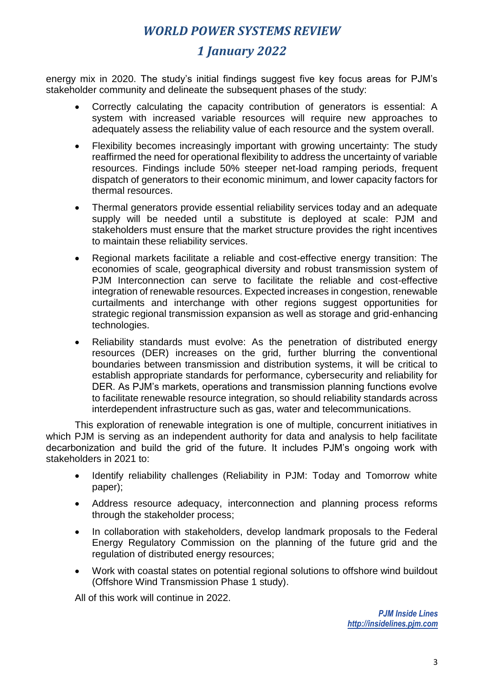# *1 January 2022*

energy mix in 2020. The study's initial findings suggest five key focus areas for PJM's stakeholder community and delineate the subsequent phases of the study:

- Correctly calculating the capacity contribution of generators is essential: A system with increased variable resources will require new approaches to adequately assess the reliability value of each resource and the system overall.
- Flexibility becomes increasingly important with growing uncertainty: The study reaffirmed the need for operational flexibility to address the uncertainty of variable resources. Findings include 50% steeper net-load ramping periods, frequent dispatch of generators to their economic minimum, and lower capacity factors for thermal resources.
- Thermal generators provide essential reliability services today and an adequate supply will be needed until a substitute is deployed at scale: PJM and stakeholders must ensure that the market structure provides the right incentives to maintain these reliability services.
- Regional markets facilitate a reliable and cost-effective energy transition: The economies of scale, geographical diversity and robust transmission system of PJM Interconnection can serve to facilitate the reliable and cost-effective integration of renewable resources. Expected increases in congestion, renewable curtailments and interchange with other regions suggest opportunities for strategic regional transmission expansion as well as storage and grid-enhancing technologies.
- Reliability standards must evolve: As the penetration of distributed energy resources (DER) increases on the grid, further blurring the conventional boundaries between transmission and distribution systems, it will be critical to establish appropriate standards for performance, cybersecurity and reliability for DER. As PJM's markets, operations and transmission planning functions evolve to facilitate renewable resource integration, so should reliability standards across interdependent infrastructure such as gas, water and telecommunications.

This exploration of renewable integration is one of multiple, concurrent initiatives in which PJM is serving as an independent authority for data and analysis to help facilitate decarbonization and build the grid of the future. It includes PJM's ongoing work with stakeholders in 2021 to:

- Identify reliability challenges (Reliability in PJM: Today and Tomorrow white paper);
- Address resource adequacy, interconnection and planning process reforms through the stakeholder process;
- In collaboration with stakeholders, develop landmark proposals to the Federal Energy Regulatory Commission on the planning of the future grid and the regulation of distributed energy resources;
- Work with coastal states on potential regional solutions to offshore wind buildout (Offshore Wind Transmission Phase 1 study).

All of this work will continue in 2022.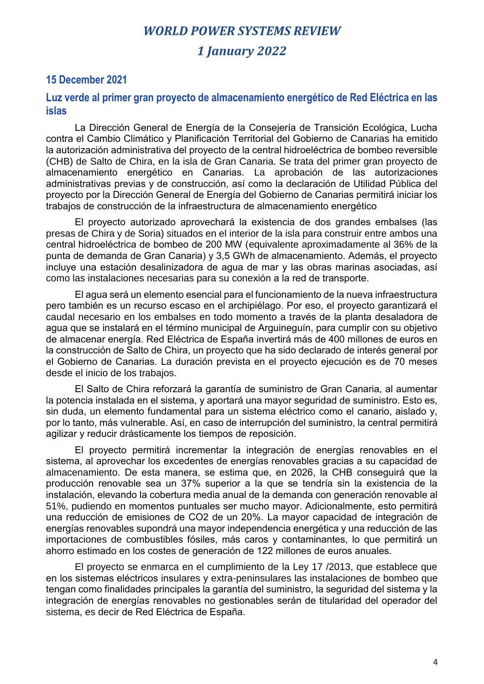### *1 January 2022*

### **15 December 2021**

#### **Luz verde al primer gran proyecto de almacenamiento energético de Red Eléctrica en las islas**

La Dirección General de Energía de la Consejería de Transición Ecológica, Lucha contra el Cambio Climático y Planificación Territorial del Gobierno de Canarias ha emitido la autorización administrativa del proyecto de la central hidroeléctrica de bombeo reversible (CHB) de Salto de Chira, en la isla de Gran Canaria. Se trata del primer gran proyecto de almacenamiento energético en Canarias. La aprobación de las autorizaciones administrativas previas y de construcción, así como la declaración de Utilidad Pública del proyecto por la Dirección General de Energía del Gobierno de Canarias permitirá iniciar los trabajos de construcción de la infraestructura de almacenamiento energético

El proyecto autorizado aprovechará la existencia de dos grandes embalses (las presas de Chira y de Soria) situados en el interior de la isla para construir entre ambos una central hidroeléctrica de bombeo de 200 MW (equivalente aproximadamente al 36% de la punta de demanda de Gran Canaria) y 3,5 GWh de almacenamiento. Además, el proyecto incluye una estación desalinizadora de agua de mar y las obras marinas asociadas, así como las instalaciones necesarias para su conexión a la red de transporte.

El agua será un elemento esencial para el funcionamiento de la nueva infraestructura pero también es un recurso escaso en el archipiélago. Por eso, el proyecto garantizará el caudal necesario en los embalses en todo momento a través de la planta desaladora de agua que se instalará en el término municipal de Arguineguín, para cumplir con su objetivo de almacenar energía. Red Eléctrica de España invertirá más de 400 millones de euros en la construcción de Salto de Chira, un proyecto que ha sido declarado de interés general por el Gobierno de Canarias. La duración prevista en el proyecto ejecución es de 70 meses desde el inicio de los trabajos.

El Salto de Chira reforzará la garantía de suministro de Gran Canaria, al aumentar la potencia instalada en el sistema, y aportará una mayor seguridad de suministro. Esto es, sin duda, un elemento fundamental para un sistema eléctrico como el canario, aislado y, por lo tanto, más vulnerable. Así, en caso de interrupción del suministro, la central permitirá agilizar y reducir drásticamente los tiempos de reposición.

El proyecto permitirá incrementar la integración de energías renovables en el sistema, al aprovechar los excedentes de energías renovables gracias a su capacidad de almacenamiento. De esta manera, se estima que, en 2026, la CHB conseguirá que la producción renovable sea un 37% superior a la que se tendría sin la existencia de la instalación, elevando la cobertura media anual de la demanda con generación renovable al 51%, pudiendo en momentos puntuales ser mucho mayor. Adicionalmente, esto permitirá una reducción de emisiones de CO2 de un 20%. La mayor capacidad de integración de energías renovables supondrá una mayor independencia energética y una reducción de las importaciones de combustibles fósiles, más caros y contaminantes, lo que permitirá un ahorro estimado en los costes de generación de 122 millones de euros anuales.

El proyecto se enmarca en el cumplimiento de la Ley 17 /2013, que establece que en los sistemas eléctricos insulares y extra-peninsulares las instalaciones de bombeo que tengan como finalidades principales la garantía del suministro, la seguridad del sistema y la integración de energías renovables no gestionables serán de titularidad del operador del sistema, es decir de Red Eléctrica de España.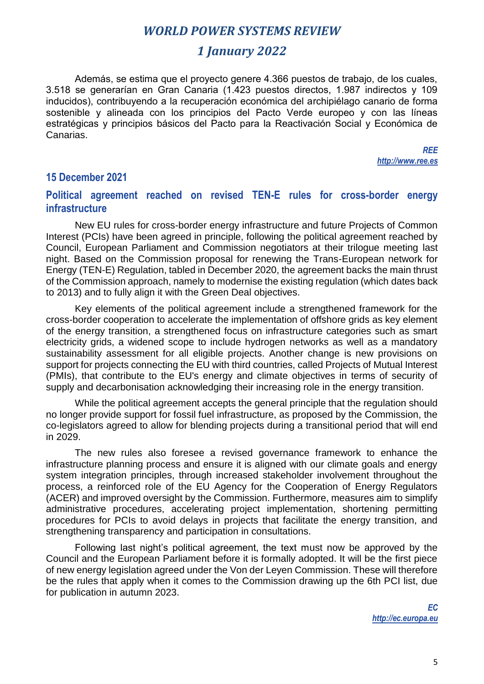### *1 January 2022*

Además, se estima que el proyecto genere 4.366 puestos de trabajo, de los cuales, 3.518 se generarían en Gran Canaria (1.423 puestos directos, 1.987 indirectos y 109 inducidos), contribuyendo a la recuperación económica del archipiélago canario de forma sostenible y alineada con los principios del Pacto Verde europeo y con las líneas estratégicas y principios básicos del Pacto para la Reactivación Social y Económica de Canarias.

> *REE http://www.ree.es*

### **15 December 2021**

### **Political agreement reached on revised TEN-E rules for cross-border energy infrastructure**

New EU rules for cross-border energy infrastructure and future Projects of Common Interest (PCIs) have been agreed in principle, following the political agreement reached by Council, European Parliament and Commission negotiators at their trilogue meeting last night. Based on the Commission proposal for renewing the Trans-European network for Energy (TEN-E) Regulation, tabled in December 2020, the agreement backs the main thrust of the Commission approach, namely to modernise the existing regulation (which dates back to 2013) and to fully align it with the Green Deal objectives.

Key elements of the political agreement include a strengthened framework for the cross-border cooperation to accelerate the implementation of offshore grids as key element of the energy transition, a strengthened focus on infrastructure categories such as smart electricity grids, a widened scope to include hydrogen networks as well as a mandatory sustainability assessment for all eligible projects. Another change is new provisions on support for projects connecting the EU with third countries, called Projects of Mutual Interest (PMIs), that contribute to the EU's energy and climate objectives in terms of security of supply and decarbonisation acknowledging their increasing role in the energy transition.

While the political agreement accepts the general principle that the regulation should no longer provide support for fossil fuel infrastructure, as proposed by the Commission, the co-legislators agreed to allow for blending projects during a transitional period that will end in 2029.

The new rules also foresee a revised governance framework to enhance the infrastructure planning process and ensure it is aligned with our climate goals and energy system integration principles, through increased stakeholder involvement throughout the process, a reinforced role of the EU Agency for the Cooperation of Energy Regulators (ACER) and improved oversight by the Commission. Furthermore, measures aim to simplify administrative procedures, accelerating project implementation, shortening permitting procedures for PCIs to avoid delays in projects that facilitate the energy transition, and strengthening transparency and participation in consultations.

Following last night's political agreement, the text must now be approved by the Council and the European Parliament before it is formally adopted. It will be the first piece of new energy legislation agreed under the Von der Leyen Commission. These will therefore be the rules that apply when it comes to the Commission drawing up the 6th PCI list, due for publication in autumn 2023.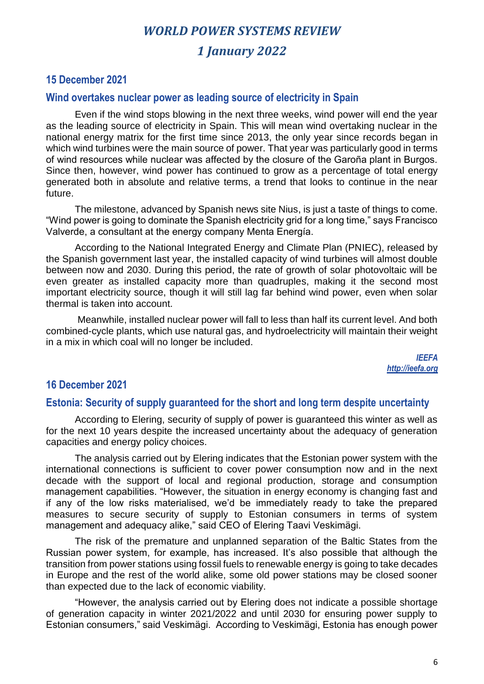# *WORLD POWER SYSTEMS REVIEW 1 January 2022*

### **15 December 2021**

#### **Wind overtakes nuclear power as leading source of electricity in Spain**

Even if the wind stops blowing in the next three weeks, wind power will end the year as the leading source of electricity in Spain. This will mean wind overtaking nuclear in the national energy matrix for the first time since 2013, the only year since records began in which wind turbines were the main source of power. That year was particularly good in terms of wind resources while nuclear was affected by the closure of the Garoña plant in Burgos. Since then, however, wind power has continued to grow as a percentage of total energy generated both in absolute and relative terms, a trend that looks to continue in the near future.

The milestone, advanced by Spanish news site Nius, is just a taste of things to come. "Wind power is going to dominate the Spanish electricity grid for a long time," says Francisco Valverde, a consultant at the energy company Menta Energía.

According to the National Integrated Energy and Climate Plan (PNIEC), released by the Spanish government last year, the installed capacity of wind turbines will almost double between now and 2030. During this period, the rate of growth of solar photovoltaic will be even greater as installed capacity more than quadruples, making it the second most important electricity source, though it will still lag far behind wind power, even when solar thermal is taken into account.

Meanwhile, installed nuclear power will fall to less than half its current level. And both combined-cycle plants, which use natural gas, and hydroelectricity will maintain their weight in a mix in which coal will no longer be included.

> *IEEFA http://ieefa.org*

### **16 December 2021**

#### **Estonia: Security of supply guaranteed for the short and long term despite uncertainty**

According to Elering, security of supply of power is guaranteed this winter as well as for the next 10 years despite the increased uncertainty about the adequacy of generation capacities and energy policy choices.

The analysis carried out by Elering indicates that the Estonian power system with the international connections is sufficient to cover power consumption now and in the next decade with the support of local and regional production, storage and consumption management capabilities. "However, the situation in energy economy is changing fast and if any of the low risks materialised, we'd be immediately ready to take the prepared measures to secure security of supply to Estonian consumers in terms of system management and adequacy alike," said CEO of Elering Taavi Veskimägi.

The risk of the premature and unplanned separation of the Baltic States from the Russian power system, for example, has increased. It's also possible that although the transition from power stations using fossil fuels to renewable energy is going to take decades in Europe and the rest of the world alike, some old power stations may be closed sooner than expected due to the lack of economic viability.

"However, the analysis carried out by Elering does not indicate a possible shortage of generation capacity in winter 2021/2022 and until 2030 for ensuring power supply to Estonian consumers," said Veskimägi. According to Veskimägi, Estonia has enough power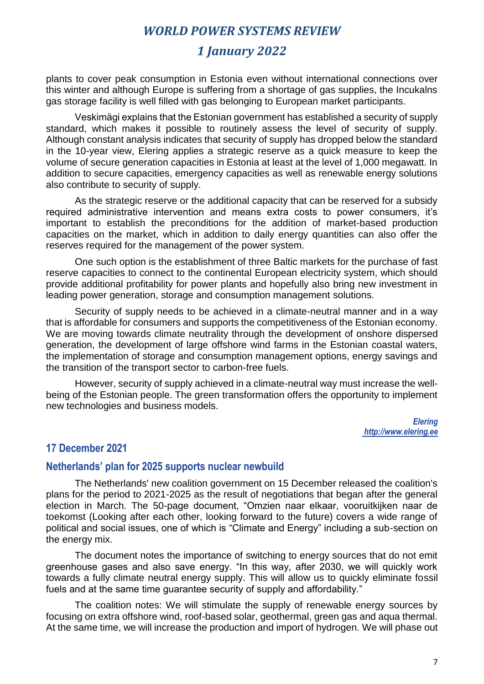### *1 January 2022*

plants to cover peak consumption in Estonia even without international connections over this winter and although Europe is suffering from a shortage of gas supplies, the Incukalns gas storage facility is well filled with gas belonging to European market participants.

Veskimägi explains that the Estonian government has established a security of supply standard, which makes it possible to routinely assess the level of security of supply. Although constant analysis indicates that security of supply has dropped below the standard in the 10-year view, Elering applies a strategic reserve as a quick measure to keep the volume of secure generation capacities in Estonia at least at the level of 1,000 megawatt. In addition to secure capacities, emergency capacities as well as renewable energy solutions also contribute to security of supply.

As the strategic reserve or the additional capacity that can be reserved for a subsidy required administrative intervention and means extra costs to power consumers, it's important to establish the preconditions for the addition of market-based production capacities on the market, which in addition to daily energy quantities can also offer the reserves required for the management of the power system.

One such option is the establishment of three Baltic markets for the purchase of fast reserve capacities to connect to the continental European electricity system, which should provide additional profitability for power plants and hopefully also bring new investment in leading power generation, storage and consumption management solutions.

Security of supply needs to be achieved in a climate-neutral manner and in a way that is affordable for consumers and supports the competitiveness of the Estonian economy. We are moving towards climate neutrality through the development of onshore dispersed generation, the development of large offshore wind farms in the Estonian coastal waters, the implementation of storage and consumption management options, energy savings and the transition of the transport sector to carbon-free fuels.

However, security of supply achieved in a climate-neutral way must increase the wellbeing of the Estonian people. The green transformation offers the opportunity to implement new technologies and business models.

> *Elering http://www.elering.ee*

#### **17 December 2021**

### **Netherlands' plan for 2025 supports nuclear newbuild**

The Netherlands' new coalition government on 15 December released the coalition's plans for the period to 2021-2025 as the result of negotiations that began after the general election in March. The 50-page document, "Omzien naar elkaar, vooruitkijken naar de toekomst (Looking after each other, looking forward to the future) covers a wide range of political and social issues, one of which is "Climate and Energy" including a sub-section on the energy mix.

The document notes the importance of switching to energy sources that do not emit greenhouse gases and also save energy. "In this way, after 2030, we will quickly work towards a fully climate neutral energy supply. This will allow us to quickly eliminate fossil fuels and at the same time guarantee security of supply and affordability."

The coalition notes: We will stimulate the supply of renewable energy sources by focusing on extra offshore wind, roof-based solar, geothermal, green gas and aqua thermal. At the same time, we will increase the production and import of hydrogen. We will phase out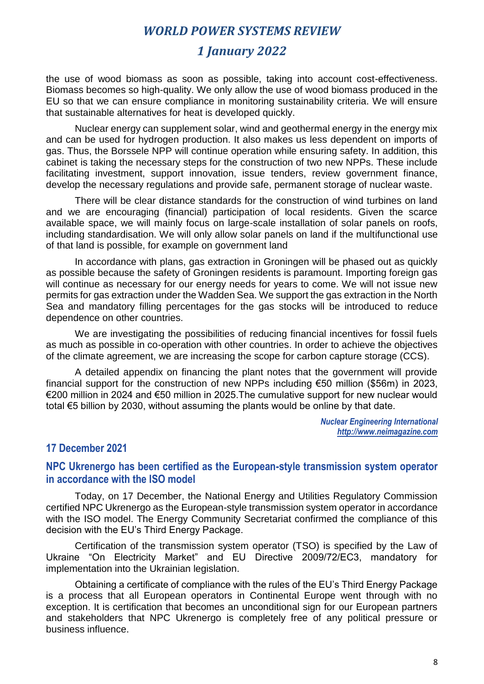### *1 January 2022*

the use of wood biomass as soon as possible, taking into account cost-effectiveness. Biomass becomes so high-quality. We only allow the use of wood biomass produced in the EU so that we can ensure compliance in monitoring sustainability criteria. We will ensure that sustainable alternatives for heat is developed quickly.

Nuclear energy can supplement solar, wind and geothermal energy in the energy mix and can be used for hydrogen production. It also makes us less dependent on imports of gas. Thus, the Borssele NPP will continue operation while ensuring safety. In addition, this cabinet is taking the necessary steps for the construction of two new NPPs. These include facilitating investment, support innovation, issue tenders, review government finance, develop the necessary regulations and provide safe, permanent storage of nuclear waste.

There will be clear distance standards for the construction of wind turbines on land and we are encouraging (financial) participation of local residents. Given the scarce available space, we will mainly focus on large-scale installation of solar panels on roofs, including standardisation. We will only allow solar panels on land if the multifunctional use of that land is possible, for example on government land

In accordance with plans, gas extraction in Groningen will be phased out as quickly as possible because the safety of Groningen residents is paramount. Importing foreign gas will continue as necessary for our energy needs for years to come. We will not issue new permits for gas extraction under the Wadden Sea. We support the gas extraction in the North Sea and mandatory filling percentages for the gas stocks will be introduced to reduce dependence on other countries.

We are investigating the possibilities of reducing financial incentives for fossil fuels as much as possible in co-operation with other countries. In order to achieve the objectives of the climate agreement, we are increasing the scope for carbon capture storage (CCS).

A detailed appendix on financing the plant notes that the government will provide financial support for the construction of new NPPs including €50 million (\$56m) in 2023, €200 million in 2024 and €50 million in 2025.The cumulative support for new nuclear would total €5 billion by 2030, without assuming the plants would be online by that date.

> *Nuclear Engineering International http://www.neimagazine.com*

#### **17 December 2021**

#### **NPC Ukrenergo has been certified as the European-style transmission system operator in accordance with the ISO model**

Today, on 17 December, the National Energy and Utilities Regulatory Commission certified NPC Ukrenergo as the European-style transmission system operator in accordance with the ISO model. The Energy Community Secretariat confirmed the compliance of this decision with the EU's Third Energy Package.

Certification of the transmission system operator (TSO) is specified by the Law of Ukraine "On Electricity Market" and EU Directive 2009/72/EC3, mandatory for implementation into the Ukrainian legislation.

Obtaining a certificate of compliance with the rules of the EU's Third Energy Package is a process that all European operators in Continental Europe went through with no exception. It is certification that becomes an unconditional sign for our European partners and stakeholders that NPC Ukrenergo is completely free of any political pressure or business influence.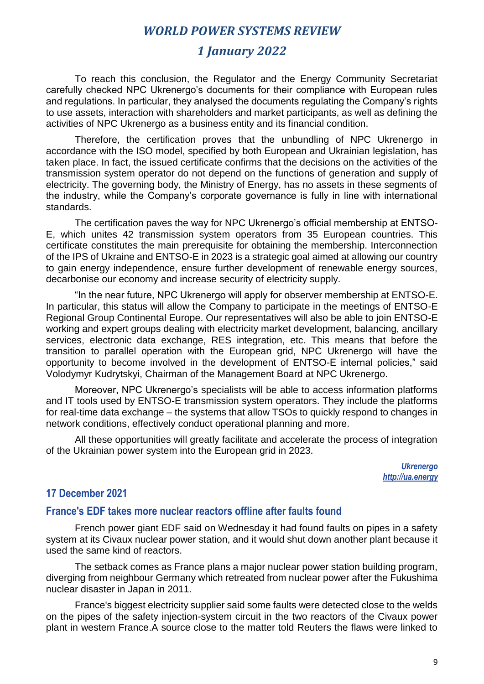### *1 January 2022*

To reach this conclusion, the Regulator and the Energy Community Secretariat carefully checked NPC Ukrenergo's documents for their compliance with European rules and regulations. In particular, they analysed the documents regulating the Company's rights to use assets, interaction with shareholders and market participants, as well as defining the activities of NPC Ukrenergo as a business entity and its financial condition.

Therefore, the certification proves that the unbundling of NPC Ukrenergo in accordance with the ISO model, specified by both European and Ukrainian legislation, has taken place. In fact, the issued certificate confirms that the decisions on the activities of the transmission system operator do not depend on the functions of generation and supply of electricity. The governing body, the Ministry of Energy, has no assets in these segments of the industry, while the Company's corporate governance is fully in line with international standards.

The certification paves the way for NPC Ukrenergo's official membership at ENTSO-E, which unites 42 transmission system operators from 35 European countries. This certificate constitutes the main prerequisite for obtaining the membership. Interconnection of the IPS of Ukraine and ENTSO-E in 2023 is a strategic goal aimed at allowing our country to gain energy independence, ensure further development of renewable energy sources, decarbonise our economy and increase security of electricity supply.

"In the near future, NPC Ukrenergo will apply for observer membership at ENTSO-E. In particular, this status will allow the Company to participate in the meetings of ENTSO-E Regional Group Continental Europe. Our representatives will also be able to join ENTSO-E working and expert groups dealing with electricity market development, balancing, ancillary services, electronic data exchange, RES integration, etc. This means that before the transition to parallel operation with the European grid, NPC Ukrenergo will have the opportunity to become involved in the development of ENTSO-E internal policies," said Volodymyr Kudrytskyi, Chairman of the Management Board at NPC Ukrenergo.

Moreover, NPC Ukrenergo's specialists will be able to access information platforms and IT tools used by ENTSO-E transmission system operators. They include the platforms for real-time data exchange – the systems that allow TSOs to quickly respond to changes in network conditions, effectively conduct operational planning and more.

All these opportunities will greatly facilitate and accelerate the process of integration of the Ukrainian power system into the European grid in 2023.

> *Ukrenergo http://ua.energy*

### **17 December 2021**

### **France's EDF takes more nuclear reactors offline after faults found**

French power giant EDF said on Wednesday it had found faults on pipes in a safety system at its Civaux nuclear power station, and it would shut down another plant because it used the same kind of reactors.

The setback comes as France plans a major nuclear power station building program, diverging from neighbour Germany which retreated from nuclear power after the Fukushima nuclear disaster in Japan in 2011.

France's biggest electricity supplier said some faults were detected close to the welds on the pipes of the safety injection-system circuit in the two reactors of the Civaux power plant in western France.A source close to the matter told Reuters the flaws were linked to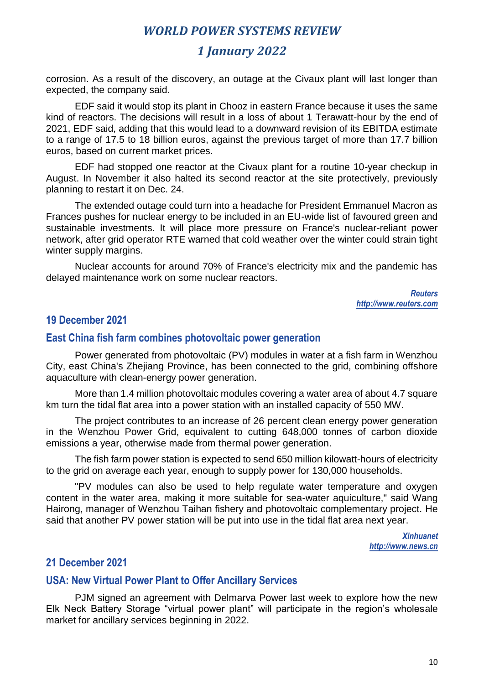# *1 January 2022*

corrosion. As a result of the discovery, an outage at the Civaux plant will last longer than expected, the company said.

EDF said it would stop its plant in Chooz in eastern France because it uses the same kind of reactors. The decisions will result in a loss of about 1 Terawatt-hour by the end of 2021, EDF said, adding that this would lead to a downward revision of its EBITDA estimate to a range of 17.5 to 18 billion euros, against the previous target of more than 17.7 billion euros, based on current market prices.

EDF had stopped one reactor at the Civaux plant for a routine 10-year checkup in August. In November it also halted its second reactor at the site protectively, previously planning to restart it on Dec. 24.

The extended outage could turn into a headache for President Emmanuel Macron as Frances pushes for nuclear energy to be included in an EU-wide list of favoured green and sustainable investments. It will place more pressure on France's nuclear-reliant power network, after grid operator RTE warned that cold weather over the winter could strain tight winter supply margins.

Nuclear accounts for around 70% of France's electricity mix and the pandemic has delayed maintenance work on some nuclear reactors.

> *Reuters http://www.reuters.com*

### **19 December 2021**

#### **East China fish farm combines photovoltaic power generation**

Power generated from photovoltaic (PV) modules in water at a fish farm in Wenzhou City, east China's Zhejiang Province, has been connected to the grid, combining offshore aquaculture with clean-energy power generation.

More than 1.4 million photovoltaic modules covering a water area of about 4.7 square km turn the tidal flat area into a power station with an installed capacity of 550 MW.

The project contributes to an increase of 26 percent clean energy power generation in the Wenzhou Power Grid, equivalent to cutting 648,000 tonnes of carbon dioxide emissions a year, otherwise made from thermal power generation.

The fish farm power station is expected to send 650 million kilowatt-hours of electricity to the grid on average each year, enough to supply power for 130,000 households.

"PV modules can also be used to help regulate water temperature and oxygen content in the water area, making it more suitable for sea-water aquiculture," said Wang Hairong, manager of Wenzhou Taihan fishery and photovoltaic complementary project. He said that another PV power station will be put into use in the tidal flat area next year.

> *Xinhuanet http://www.news.cn*

#### **21 December 2021**

#### **USA: New Virtual Power Plant to Offer Ancillary Services**

PJM signed an agreement with Delmarva Power last week to explore how the new Elk Neck Battery Storage "virtual power plant" will participate in the region's wholesale market for ancillary services beginning in 2022.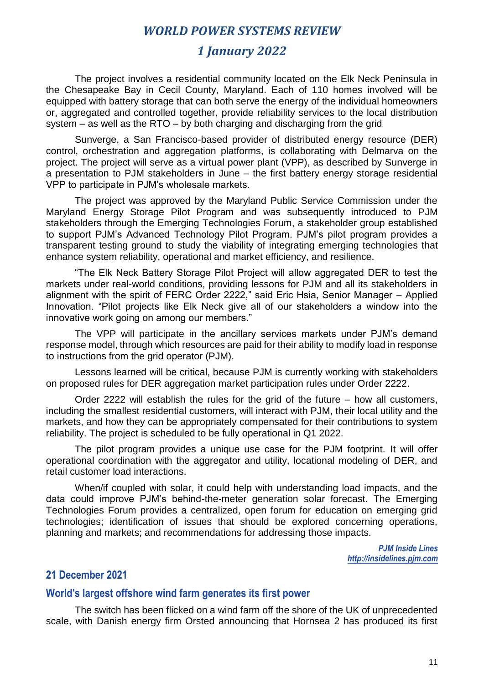### *1 January 2022*

The project involves a residential community located on the Elk Neck Peninsula in the Chesapeake Bay in Cecil County, Maryland. Each of 110 homes involved will be equipped with battery storage that can both serve the energy of the individual homeowners or, aggregated and controlled together, provide reliability services to the local distribution system – as well as the RTO – by both charging and discharging from the grid

Sunverge, a San Francisco-based provider of distributed energy resource (DER) control, orchestration and aggregation platforms, is collaborating with Delmarva on the project. The project will serve as a virtual power plant (VPP), as described by Sunverge in a presentation to PJM stakeholders in June – the first battery energy storage residential VPP to participate in PJM's wholesale markets.

The project was approved by the Maryland Public Service Commission under the Maryland Energy Storage Pilot Program and was subsequently introduced to PJM stakeholders through the Emerging Technologies Forum, a stakeholder group established to support PJM's Advanced Technology Pilot Program. PJM's pilot program provides a transparent testing ground to study the viability of integrating emerging technologies that enhance system reliability, operational and market efficiency, and resilience.

"The Elk Neck Battery Storage Pilot Project will allow aggregated DER to test the markets under real-world conditions, providing lessons for PJM and all its stakeholders in alignment with the spirit of FERC Order 2222," said Eric Hsia, Senior Manager – Applied Innovation. "Pilot projects like Elk Neck give all of our stakeholders a window into the innovative work going on among our members."

The VPP will participate in the ancillary services markets under PJM's demand response model, through which resources are paid for their ability to modify load in response to instructions from the grid operator (PJM).

Lessons learned will be critical, because PJM is currently working with stakeholders on proposed rules for DER aggregation market participation rules under Order 2222.

Order 2222 will establish the rules for the grid of the future – how all customers, including the smallest residential customers, will interact with PJM, their local utility and the markets, and how they can be appropriately compensated for their contributions to system reliability. The project is scheduled to be fully operational in Q1 2022.

The pilot program provides a unique use case for the PJM footprint. It will offer operational coordination with the aggregator and utility, locational modeling of DER, and retail customer load interactions.

When/if coupled with solar, it could help with understanding load impacts, and the data could improve PJM's behind-the-meter generation solar forecast. The Emerging Technologies Forum provides a centralized, open forum for education on emerging grid technologies; identification of issues that should be explored concerning operations, planning and markets; and recommendations for addressing those impacts.

> *PJM Inside Lines http://insidelines.pjm.com*

### **21 December 2021**

#### **World's largest offshore wind farm generates its first power**

The switch has been flicked on a wind farm off the shore of the UK of unprecedented scale, with Danish energy firm Orsted announcing that Hornsea 2 has produced its first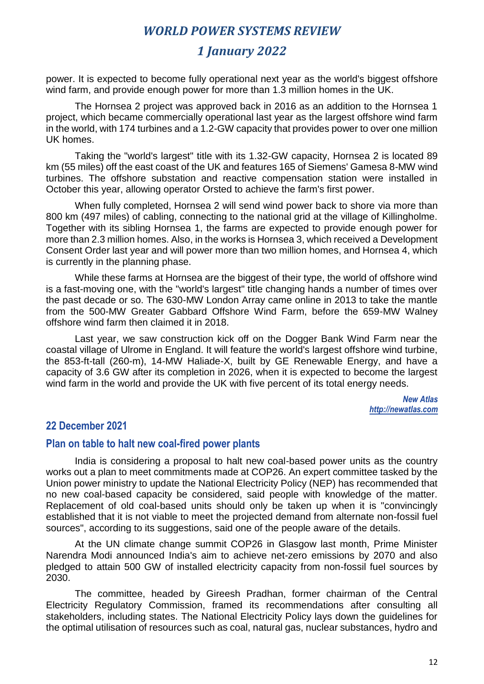# *1 January 2022*

power. It is expected to become fully operational next year as the world's biggest offshore wind farm, and provide enough power for more than 1.3 million homes in the UK.

The Hornsea 2 project was approved back in 2016 as an addition to the Hornsea 1 project, which became commercially operational last year as the largest offshore wind farm in the world, with 174 turbines and a 1.2-GW capacity that provides power to over one million UK homes.

Taking the "world's largest" title with its 1.32-GW capacity, Hornsea 2 is located 89 km (55 miles) off the east coast of the UK and features 165 of Siemens' Gamesa 8-MW wind turbines. The offshore substation and reactive compensation station were installed in October this year, allowing operator Orsted to achieve the farm's first power.

When fully completed, Hornsea 2 will send wind power back to shore via more than 800 km (497 miles) of cabling, connecting to the national grid at the village of Killingholme. Together with its sibling Hornsea 1, the farms are expected to provide enough power for more than 2.3 million homes. Also, in the works is Hornsea 3, which received a Development Consent Order last year and will power more than two million homes, and Hornsea 4, which is currently in the planning phase.

While these farms at Hornsea are the biggest of their type, the world of offshore wind is a fast-moving one, with the "world's largest" title changing hands a number of times over the past decade or so. The 630-MW London Array came online in 2013 to take the mantle from the 500-MW Greater Gabbard Offshore Wind Farm, before the 659-MW Walney offshore wind farm then claimed it in 2018.

Last year, we saw construction kick off on the Dogger Bank Wind Farm near the coastal village of Ulrome in England. It will feature the world's largest offshore wind turbine, the 853-ft-tall (260-m), 14-MW Haliade-X, built by GE Renewable Energy, and have a capacity of 3.6 GW after its completion in 2026, when it is expected to become the largest wind farm in the world and provide the UK with five percent of its total energy needs.

> *New Atlas http://newatlas.com*

### **22 December 2021**

#### **Plan on table to halt new coal-fired power plants**

India is considering a proposal to halt new coal-based power units as the country works out a plan to meet commitments made at COP26. An expert committee tasked by the Union power ministry to update the National Electricity Policy (NEP) has recommended that no new coal-based capacity be considered, said people with knowledge of the matter. Replacement of old coal-based units should only be taken up when it is "convincingly established that it is not viable to meet the projected demand from alternate non-fossil fuel sources", according to its suggestions, said one of the people aware of the details.

At the UN climate change summit COP26 in Glasgow last month, Prime Minister Narendra Modi announced India's aim to achieve net-zero emissions by 2070 and also pledged to attain 500 GW of installed electricity capacity from non-fossil fuel sources by 2030.

The committee, headed by Gireesh Pradhan, former chairman of the Central Electricity Regulatory Commission, framed its recommendations after consulting all stakeholders, including states. The National Electricity Policy lays down the guidelines for the optimal utilisation of resources such as coal, natural gas, nuclear substances, hydro and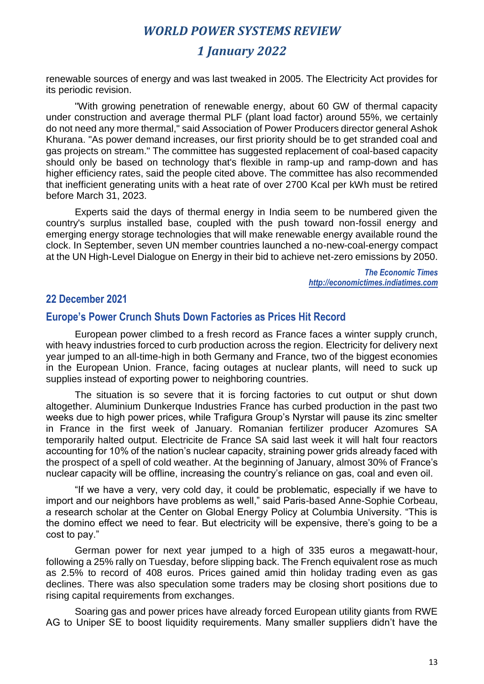# *1 January 2022*

renewable sources of energy and was last tweaked in 2005. The Electricity Act provides for its periodic revision.

"With growing penetration of renewable energy, about 60 GW of thermal capacity under construction and average thermal PLF (plant load factor) around 55%, we certainly do not need any more thermal," said Association of Power Producers director general Ashok Khurana. "As power demand increases, our first priority should be to get stranded coal and gas projects on stream." The committee has suggested replacement of coal-based capacity should only be based on technology that's flexible in ramp-up and ramp-down and has higher efficiency rates, said the people cited above. The committee has also recommended that inefficient generating units with a heat rate of over 2700 Kcal per kWh must be retired before March 31, 2023.

Experts said the days of thermal energy in India seem to be numbered given the country's surplus installed base, coupled with the push toward non-fossil energy and emerging energy storage technologies that will make renewable energy available round the clock. In September, seven UN member countries launched a no-new-coal-energy compact at the UN High-Level Dialogue on Energy in their bid to achieve net-zero emissions by 2050.

> *The Economic Times http://economictimes.indiatimes.com*

### **22 December 2021**

### **Europe's Power Crunch Shuts Down Factories as Prices Hit Record**

European power climbed to a fresh record as France faces a winter supply crunch, with heavy industries forced to curb production across the region. Electricity for delivery next year jumped to an all-time-high in both Germany and France, two of the biggest economies in the European Union. France, facing outages at nuclear plants, will need to suck up supplies instead of exporting power to neighboring countries.

The situation is so severe that it is forcing factories to cut output or shut down altogether. Aluminium Dunkerque Industries France has curbed production in the past two weeks due to high power prices, while Trafigura Group's Nyrstar will pause its zinc smelter in France in the first week of January. Romanian fertilizer producer Azomures SA temporarily halted output. Electricite de France SA said last week it will halt four reactors accounting for 10% of the nation's nuclear capacity, straining power grids already faced with the prospect of a spell of cold weather. At the beginning of January, almost 30% of France's nuclear capacity will be offline, increasing the country's reliance on gas, coal and even oil.

"If we have a very, very cold day, it could be problematic, especially if we have to import and our neighbors have problems as well," said Paris-based Anne-Sophie Corbeau, a research scholar at the Center on Global Energy Policy at Columbia University. "This is the domino effect we need to fear. But electricity will be expensive, there's going to be a cost to pay."

German power for next year jumped to a high of 335 euros a megawatt-hour, following a 25% rally on Tuesday, before slipping back. The French equivalent rose as much as 2.5% to record of 408 euros. Prices gained amid thin holiday trading even as gas declines. There was also speculation some traders may be closing short positions due to rising capital requirements from exchanges.

Soaring gas and power prices have already forced European utility giants from RWE AG to Uniper SE to boost liquidity requirements. Many smaller suppliers didn't have the